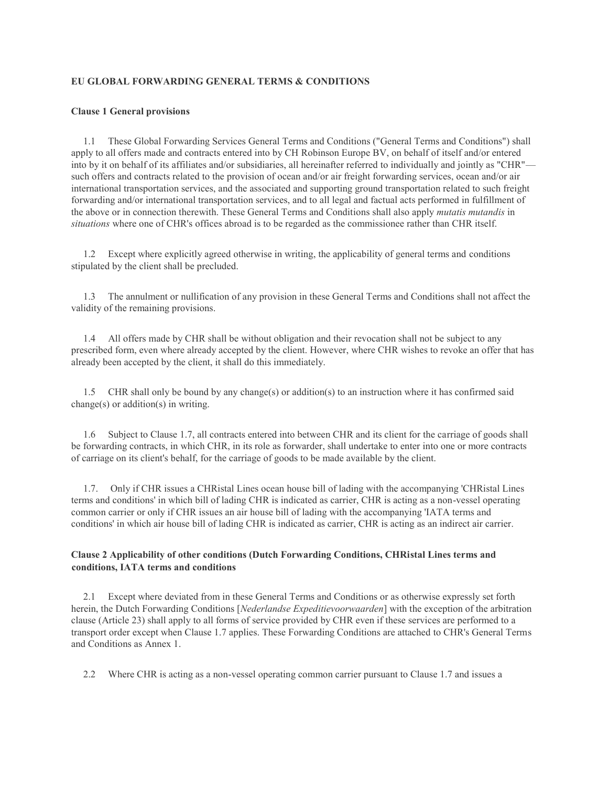## **EU GLOBAL FORWARDING GENERAL TERMS & CONDITIONS**

### **Clause 1 General provisions**

 1.1 These Global Forwarding Services General Terms and Conditions ("General Terms and Conditions") shall apply to all offers made and contracts entered into by CH Robinson Europe BV, on behalf of itself and/or entered into by it on behalf of its affiliates and/or subsidiaries, all hereinafter referred to individually and jointly as "CHR" such offers and contracts related to the provision of ocean and/or air freight forwarding services, ocean and/or air international transportation services, and the associated and supporting ground transportation related to such freight forwarding and/or international transportation services, and to all legal and factual acts performed in fulfillment of the above or in connection therewith. These General Terms and Conditions shall also apply *mutatis mutandis* in *situations* where one of CHR's offices abroad is to be regarded as the commissionee rather than CHR itself.

 1.2 Except where explicitly agreed otherwise in writing, the applicability of general terms and conditions stipulated by the client shall be precluded.

 1.3 The annulment or nullification of any provision in these General Terms and Conditions shall not affect the validity of the remaining provisions.

 1.4 All offers made by CHR shall be without obligation and their revocation shall not be subject to any prescribed form, even where already accepted by the client. However, where CHR wishes to revoke an offer that has already been accepted by the client, it shall do this immediately.

 1.5 CHR shall only be bound by any change(s) or addition(s) to an instruction where it has confirmed said change(s) or addition(s) in writing.

 1.6 Subject to Clause 1.7, all contracts entered into between CHR and its client for the carriage of goods shall be forwarding contracts, in which CHR, in its role as forwarder, shall undertake to enter into one or more contracts of carriage on its client's behalf, for the carriage of goods to be made available by the client.

 1.7. Only if CHR issues a CHRistal Lines ocean house bill of lading with the accompanying 'CHRistal Lines terms and conditions' in which bill of lading CHR is indicated as carrier, CHR is acting as a non-vessel operating common carrier or only if CHR issues an air house bill of lading with the accompanying 'IATA terms and conditions' in which air house bill of lading CHR is indicated as carrier, CHR is acting as an indirect air carrier.

## **Clause 2 Applicability of other conditions (Dutch Forwarding Conditions, CHRistal Lines terms and conditions, IATA terms and conditions**

 2.1 Except where deviated from in these General Terms and Conditions or as otherwise expressly set forth herein, the Dutch Forwarding Conditions [*Nederlandse Expeditievoorwaarden*] with the exception of the arbitration clause (Article 23) shall apply to all forms of service provided by CHR even if these services are performed to a transport order except when Clause 1.7 applies. These Forwarding Conditions are attached to CHR's General Terms and Conditions as Annex 1.

2.2 Where CHR is acting as a non-vessel operating common carrier pursuant to Clause 1.7 and issues a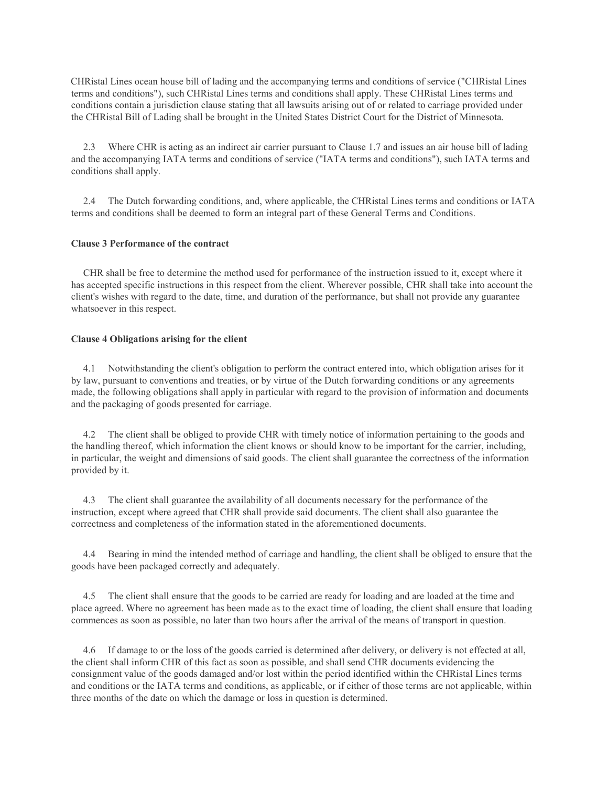CHRistal Lines ocean house bill of lading and the accompanying terms and conditions of service ("CHRistal Lines terms and conditions"), such CHRistal Lines terms and conditions shall apply. These CHRistal Lines terms and conditions contain a jurisdiction clause stating that all lawsuits arising out of or related to carriage provided under the CHRistal Bill of Lading shall be brought in the United States District Court for the District of Minnesota.

 2.3 Where CHR is acting as an indirect air carrier pursuant to Clause 1.7 and issues an air house bill of lading and the accompanying IATA terms and conditions of service ("IATA terms and conditions"), such IATA terms and conditions shall apply.

 2.4 The Dutch forwarding conditions, and, where applicable, the CHRistal Lines terms and conditions or IATA terms and conditions shall be deemed to form an integral part of these General Terms and Conditions.

### **Clause 3 Performance of the contract**

 CHR shall be free to determine the method used for performance of the instruction issued to it, except where it has accepted specific instructions in this respect from the client. Wherever possible, CHR shall take into account the client's wishes with regard to the date, time, and duration of the performance, but shall not provide any guarantee whatsoever in this respect.

## **Clause 4 Obligations arising for the client**

 4.1 Notwithstanding the client's obligation to perform the contract entered into, which obligation arises for it by law, pursuant to conventions and treaties, or by virtue of the Dutch forwarding conditions or any agreements made, the following obligations shall apply in particular with regard to the provision of information and documents and the packaging of goods presented for carriage.

 4.2 The client shall be obliged to provide CHR with timely notice of information pertaining to the goods and the handling thereof, which information the client knows or should know to be important for the carrier, including, in particular, the weight and dimensions of said goods. The client shall guarantee the correctness of the information provided by it.

 4.3 The client shall guarantee the availability of all documents necessary for the performance of the instruction, except where agreed that CHR shall provide said documents. The client shall also guarantee the correctness and completeness of the information stated in the aforementioned documents.

 4.4 Bearing in mind the intended method of carriage and handling, the client shall be obliged to ensure that the goods have been packaged correctly and adequately.

 4.5 The client shall ensure that the goods to be carried are ready for loading and are loaded at the time and place agreed. Where no agreement has been made as to the exact time of loading, the client shall ensure that loading commences as soon as possible, no later than two hours after the arrival of the means of transport in question.

 4.6 If damage to or the loss of the goods carried is determined after delivery, or delivery is not effected at all, the client shall inform CHR of this fact as soon as possible, and shall send CHR documents evidencing the consignment value of the goods damaged and/or lost within the period identified within the CHRistal Lines terms and conditions or the IATA terms and conditions, as applicable, or if either of those terms are not applicable, within three months of the date on which the damage or loss in question is determined.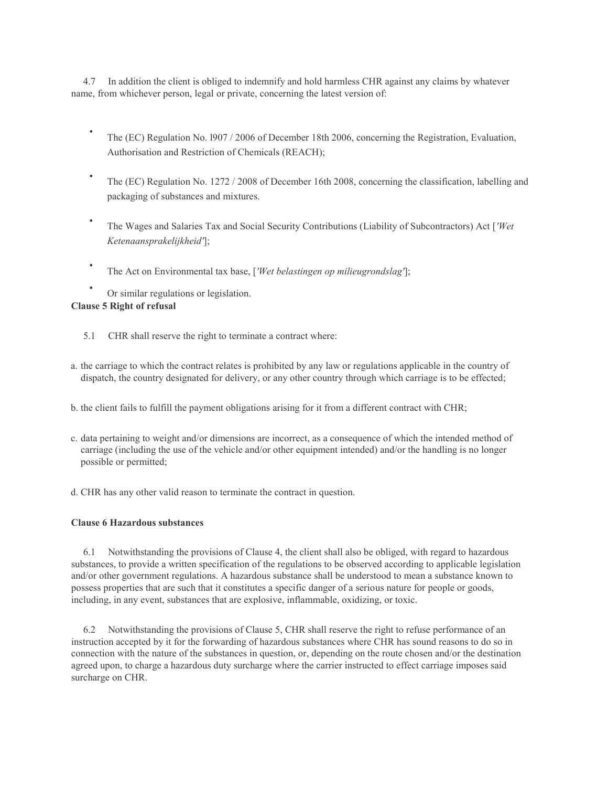4.7 In addition the client is obliged to indemnify and hold harmless CHR against any claims by whatever name, from whichever person, legal or private, concerning the latest version of:

- The (EC) Regulation No. l907 / 2006 of December 18th 2006, concerning the Registration, Evaluation, Authorisation and Restriction of Chemicals (REACH);
- The (EC) Regulation No. 1272 / 2008 of December 16th 2008, concerning the classification, labelling and packaging of substances and mixtures.
- The Wages and Salaries Tax and Social Security Contributions (Liability of Subcontractors) Act [*'Wet Ketenaansprakelijkheid'*];
- The Act on Environmental tax base, [*'Wet belastingen op milieugrondslag'*];
- Or similar regulations or legislation.

## **Clause 5 Right of refusal**

- 5.1 CHR shall reserve the right to terminate a contract where:
- a. the carriage to which the contract relates is prohibited by any law or regulations applicable in the country of dispatch, the country designated for delivery, or any other country through which carriage is to be effected;
- b. the client fails to fulfill the payment obligations arising for it from a different contract with CHR;
- c. data pertaining to weight and/or dimensions are incorrect, as a consequence of which the intended method of carriage (including the use of the vehicle and/or other equipment intended) and/or the handling is no longer possible or permitted;
- d. CHR has any other valid reason to terminate the contract in question.

### **Clause 6 Hazardous substances**

 6.1 Notwithstanding the provisions of Clause 4, the client shall also be obliged, with regard to hazardous substances, to provide a written specification of the regulations to be observed according to applicable legislation and/or other government regulations. A hazardous substance shall be understood to mean a substance known to possess properties that are such that it constitutes a specific danger of a serious nature for people or goods, including, in any event, substances that are explosive, inflammable, oxidizing, or toxic.

 6.2 Notwithstanding the provisions of Clause 5, CHR shall reserve the right to refuse performance of an instruction accepted by it for the forwarding of hazardous substances where CHR has sound reasons to do so in connection with the nature of the substances in question, or, depending on the route chosen and/or the destination agreed upon, to charge a hazardous duty surcharge where the carrier instructed to effect carriage imposes said surcharge on CHR.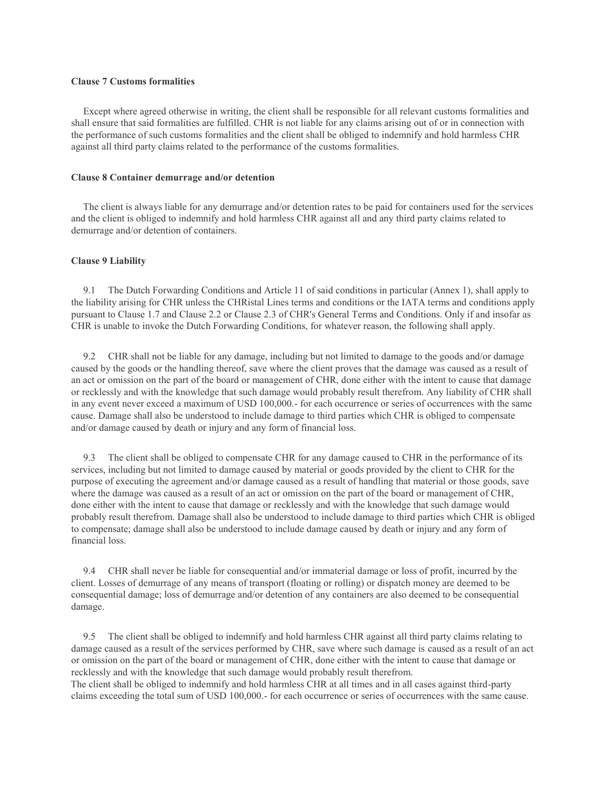### **Clause 7 Customs formalities**

 Except where agreed otherwise in writing, the client shall be responsible for all relevant customs formalities and shall ensure that said formalities are fulfilled. CHR is not liable for any claims arising out of or in connection with the performance of such customs formalities and the client shall be obliged to indemnify and hold harmless CHR against all third party claims related to the performance of the customs formalities.

### **Clause 8 Container demurrage and/or detention**

 The client is always liable for any demurrage and/or detention rates to be paid for containers used for the services and the client is obliged to indemnify and hold harmless CHR against all and any third party claims related to demurrage and/or detention of containers.

### **Clause 9 Liability**

 9.1 The Dutch Forwarding Conditions and Article 11 of said conditions in particular (Annex 1), shall apply to the liability arising for CHR unless the CHRistal Lines terms and conditions or the IATA terms and conditions apply pursuant to Clause 1.7 and Clause 2.2 or Clause 2.3 of CHR's General Terms and Conditions. Only if and insofar as CHR is unable to invoke the Dutch Forwarding Conditions, for whatever reason, the following shall apply.

 9.2 CHR shall not be liable for any damage, including but not limited to damage to the goods and/or damage caused by the goods or the handling thereof, save where the client proves that the damage was caused as a result of an act or omission on the part of the board or management of CHR, done either with the intent to cause that damage or recklessly and with the knowledge that such damage would probably result therefrom. Any liability of CHR shall in any event never exceed a maximum of USD 100,000.- for each occurrence or series of occurrences with the same cause. Damage shall also be understood to include damage to third parties which CHR is obliged to compensate and/or damage caused by death or injury and any form of financial loss.

 9.3 The client shall be obliged to compensate CHR for any damage caused to CHR in the performance of its services, including but not limited to damage caused by material or goods provided by the client to CHR for the purpose of executing the agreement and/or damage caused as a result of handling that material or those goods, save where the damage was caused as a result of an act or omission on the part of the board or management of CHR, done either with the intent to cause that damage or recklessly and with the knowledge that such damage would probably result therefrom. Damage shall also be understood to include damage to third parties which CHR is obliged to compensate; damage shall also be understood to include damage caused by death or injury and any form of financial loss.

 9.4 CHR shall never be liable for consequential and/or immaterial damage or loss of profit, incurred by the client. Losses of demurrage of any means of transport (floating or rolling) or dispatch money are deemed to be consequential damage; loss of demurrage and/or detention of any containers are also deemed to be consequential damage.

 9.5 The client shall be obliged to indemnify and hold harmless CHR against all third party claims relating to damage caused as a result of the services performed by CHR, save where such damage is caused as a result of an act or omission on the part of the board or management of CHR, done either with the intent to cause that damage or recklessly and with the knowledge that such damage would probably result therefrom. The client shall be obliged to indemnify and hold harmless CHR at all times and in all cases against third-party claims exceeding the total sum of USD 100,000.- for each occurrence or series of occurrences with the same cause.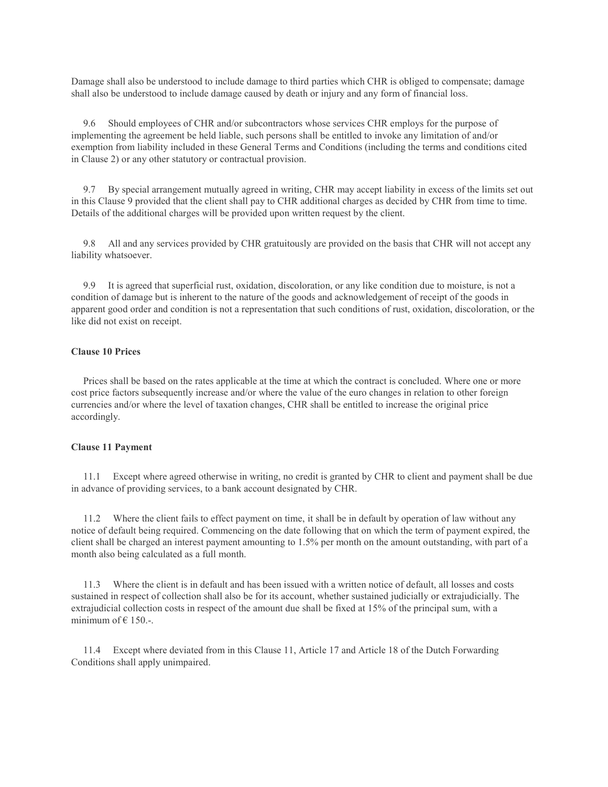Damage shall also be understood to include damage to third parties which CHR is obliged to compensate; damage shall also be understood to include damage caused by death or injury and any form of financial loss.

 9.6 Should employees of CHR and/or subcontractors whose services CHR employs for the purpose of implementing the agreement be held liable, such persons shall be entitled to invoke any limitation of and/or exemption from liability included in these General Terms and Conditions (including the terms and conditions cited in Clause 2) or any other statutory or contractual provision.

 9.7 By special arrangement mutually agreed in writing, CHR may accept liability in excess of the limits set out in this Clause 9 provided that the client shall pay to CHR additional charges as decided by CHR from time to time. Details of the additional charges will be provided upon written request by the client.

 9.8 All and any services provided by CHR gratuitously are provided on the basis that CHR will not accept any liability whatsoever.

 9.9 It is agreed that superficial rust, oxidation, discoloration, or any like condition due to moisture, is not a condition of damage but is inherent to the nature of the goods and acknowledgement of receipt of the goods in apparent good order and condition is not a representation that such conditions of rust, oxidation, discoloration, or the like did not exist on receipt.

### **Clause 10 Prices**

 Prices shall be based on the rates applicable at the time at which the contract is concluded. Where one or more cost price factors subsequently increase and/or where the value of the euro changes in relation to other foreign currencies and/or where the level of taxation changes, CHR shall be entitled to increase the original price accordingly.

### **Clause 11 Payment**

 11.1 Except where agreed otherwise in writing, no credit is granted by CHR to client and payment shall be due in advance of providing services, to a bank account designated by CHR.

 11.2 Where the client fails to effect payment on time, it shall be in default by operation of law without any notice of default being required. Commencing on the date following that on which the term of payment expired, the client shall be charged an interest payment amounting to 1.5% per month on the amount outstanding, with part of a month also being calculated as a full month.

 11.3 Where the client is in default and has been issued with a written notice of default, all losses and costs sustained in respect of collection shall also be for its account, whether sustained judicially or extrajudicially. The extrajudicial collection costs in respect of the amount due shall be fixed at 15% of the principal sum, with a minimum of  $\epsilon$  150.-.

 11.4 Except where deviated from in this Clause 11, Article 17 and Article 18 of the Dutch Forwarding Conditions shall apply unimpaired.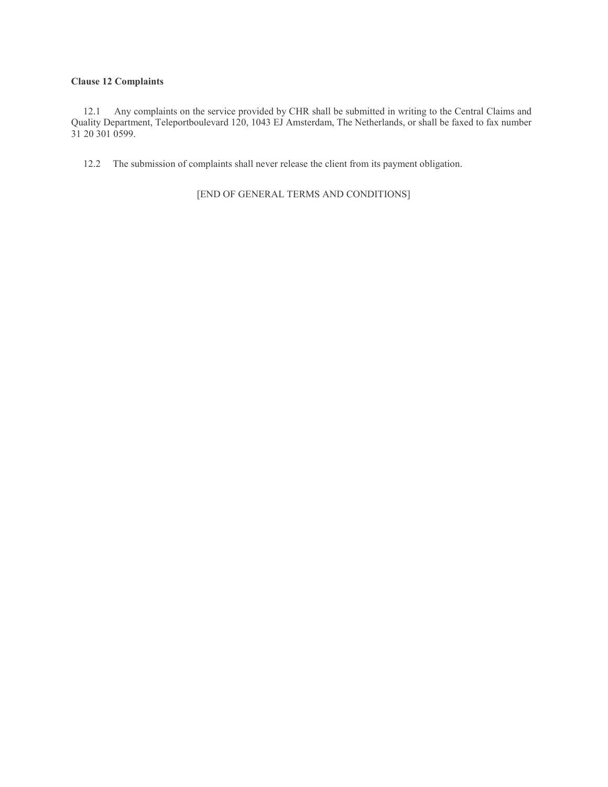## **Clause 12 Complaints**

 12.1 Any complaints on the service provided by CHR shall be submitted in writing to the Central Claims and Quality Department, Teleportboulevard 120, 1043 EJ Amsterdam, The Netherlands, or shall be faxed to fax number 31 20 301 0599.

12.2 The submission of complaints shall never release the client from its payment obligation.

[END OF GENERAL TERMS AND CONDITIONS]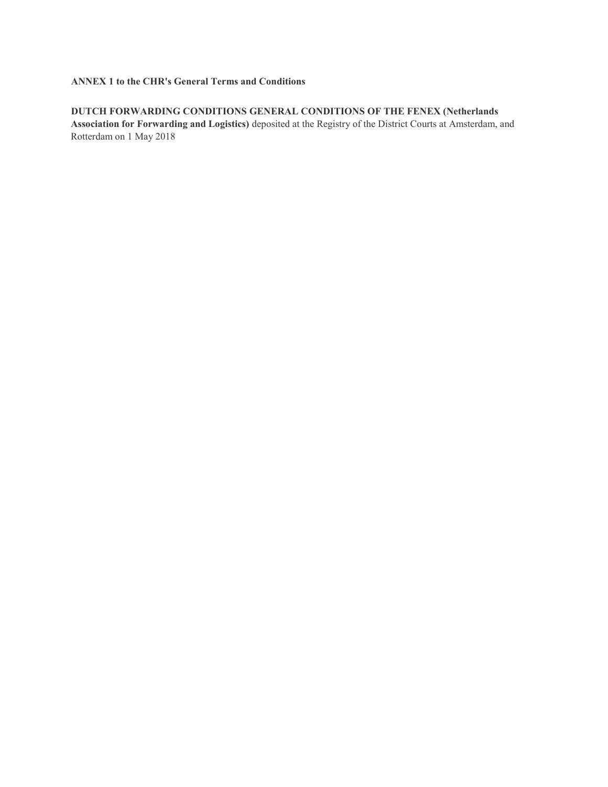# **ANNEX 1 to the CHR's General Terms and Conditions**

# **DUTCH FORWARDING CONDITIONS GENERAL CONDITIONS OF THE FENEX (Netherlands**

**Association for Forwarding and Logistics)** deposited at the Registry of the District Courts at Amsterdam, and Rotterdam on 1 May 2018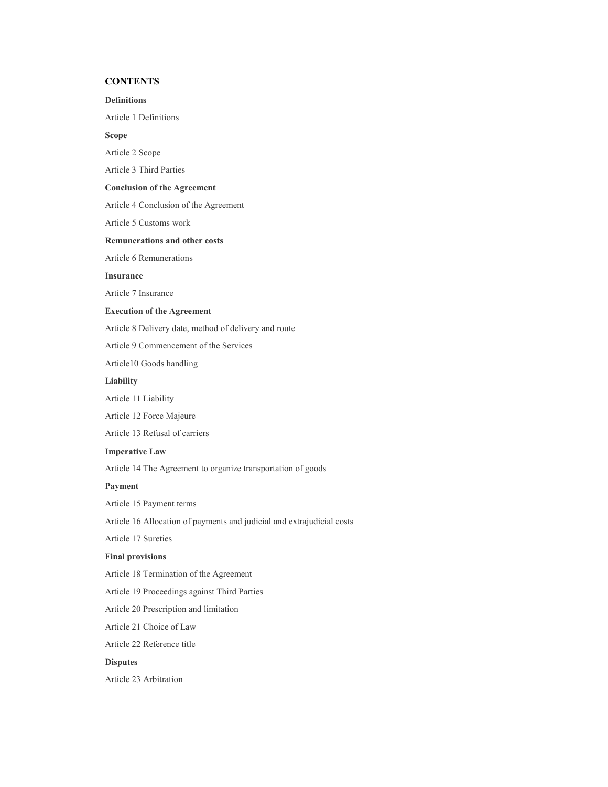## **CONTENTS**

### **Definitions**

Article 1 Definitions

### **Scope**

Article 2 Scope

Article 3 Third Parties

### **Conclusion of the Agreement**

Article 4 Conclusion of the Agreement

Article 5 Customs work

### **Remunerations and other costs**

Article 6 Remunerations

### **Insurance**

Article 7 Insurance

## **Execution of the Agreement**

Article 8 Delivery date, method of delivery and route

Article 9 Commencement of the Services

Article10 Goods handling

### **Liability**

Article 11 Liability

Article 12 Force Majeure

Article 13 Refusal of carriers

### **Imperative Law**

Article 14 The Agreement to organize transportation of goods

### **Payment**

Article 15 Payment terms

Article 16 Allocation of payments and judicial and extrajudicial costs

Article 17 Sureties

## **Final provisions**

Article 18 Termination of the Agreement

Article 19 Proceedings against Third Parties

Article 20 Prescription and limitation

Article 21 Choice of Law

Article 22 Reference title

## **Disputes**

Article 23 Arbitration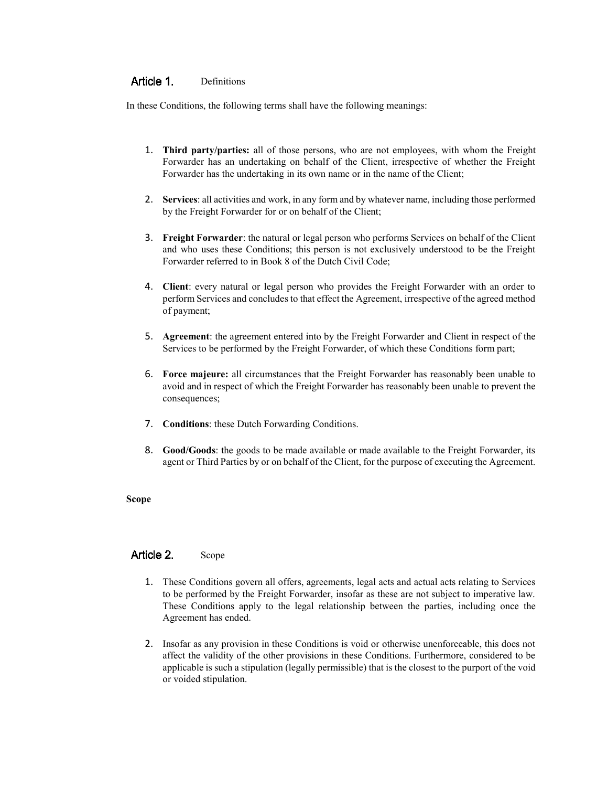#### Article 1. Definitions

In these Conditions, the following terms shall have the following meanings:

- 1. **Third party/parties:** all of those persons, who are not employees, with whom the Freight Forwarder has an undertaking on behalf of the Client, irrespective of whether the Freight Forwarder has the undertaking in its own name or in the name of the Client;
- 2. **Services**: all activities and work, in any form and by whatever name, including those performed by the Freight Forwarder for or on behalf of the Client;
- 3. **Freight Forwarder**: the natural or legal person who performs Services on behalf of the Client and who uses these Conditions; this person is not exclusively understood to be the Freight Forwarder referred to in Book 8 of the Dutch Civil Code;
- 4. **Client**: every natural or legal person who provides the Freight Forwarder with an order to perform Services and concludes to that effect the Agreement, irrespective of the agreed method of payment;
- 5. **Agreement**: the agreement entered into by the Freight Forwarder and Client in respect of the Services to be performed by the Freight Forwarder, of which these Conditions form part;
- 6. **Force majeure:** all circumstances that the Freight Forwarder has reasonably been unable to avoid and in respect of which the Freight Forwarder has reasonably been unable to prevent the consequences;
- 7. **Conditions**: these Dutch Forwarding Conditions.
- 8. **Good/Goods**: the goods to be made available or made available to the Freight Forwarder, its agent or Third Parties by or on behalf of the Client, for the purpose of executing the Agreement.

## **Scope**

#### Article 2. Scope

- 1. These Conditions govern all offers, agreements, legal acts and actual acts relating to Services to be performed by the Freight Forwarder, insofar as these are not subject to imperative law. These Conditions apply to the legal relationship between the parties, including once the Agreement has ended.
- 2. Insofar as any provision in these Conditions is void or otherwise unenforceable, this does not affect the validity of the other provisions in these Conditions. Furthermore, considered to be applicable is such a stipulation (legally permissible) that is the closest to the purport of the void or voided stipulation.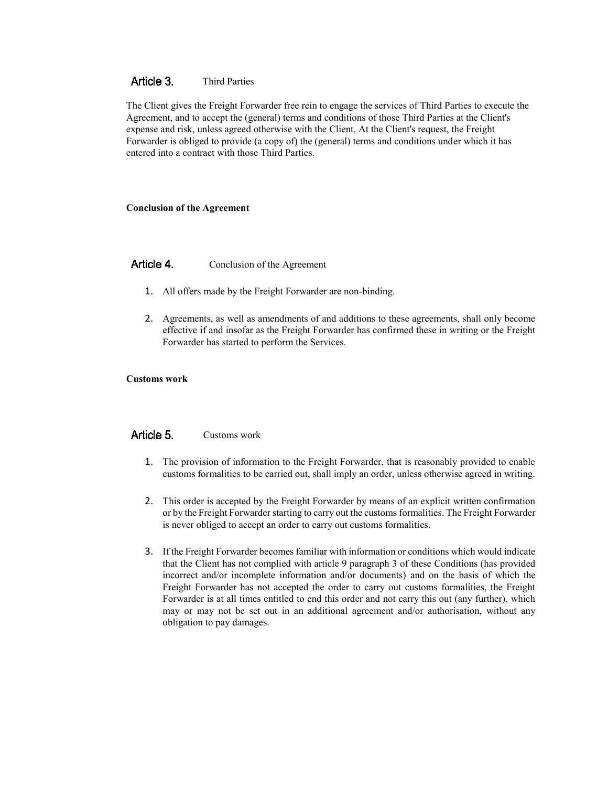#### Article 3. Third Parties

The Client gives the Freight Forwarder free rein to engage the services of Third Parties to execute the Agreement, and to accept the (general) terms and conditions of those Third Parties at the Client's expense and risk, unless agreed otherwise with the Client. At the Client's request, the Freight Forwarder is obliged to provide (a copy of) the (general) terms and conditions under which it has entered into a contract with those Third Parties.

## **Conclusion of the Agreement**

#### Article 4. Conclusion of the Agreement

- 1. All offers made by the Freight Forwarder are non-binding.
- 2. Agreements, as well as amendments of and additions to these agreements, shall only become effective if and insofar as the Freight Forwarder has confirmed these in writing or the Freight Forwarder has started to perform the Services.

## **Customs work**

#### Article 5. Customs work

- 1. The provision of information to the Freight Forwarder, that is reasonably provided to enable customs formalities to be carried out, shall imply an order, unless otherwise agreed in writing.
- 2. This order is accepted by the Freight Forwarder by means of an explicit written confirmation or by the Freight Forwarder starting to carry out the customs formalities. The Freight Forwarder is never obliged to accept an order to carry out customs formalities.
- 3. If the Freight Forwarder becomes familiar with information or conditions which would indicate that the Client has not complied with article 9 paragraph 3 of these Conditions (has provided incorrect and/or incomplete information and/or documents) and on the basis of which the Freight Forwarder has not accepted the order to carry out customs formalities, the Freight Forwarder is at all times entitled to end this order and not carry this out (any further), which may or may not be set out in an additional agreement and/or authorisation, without any obligation to pay damages.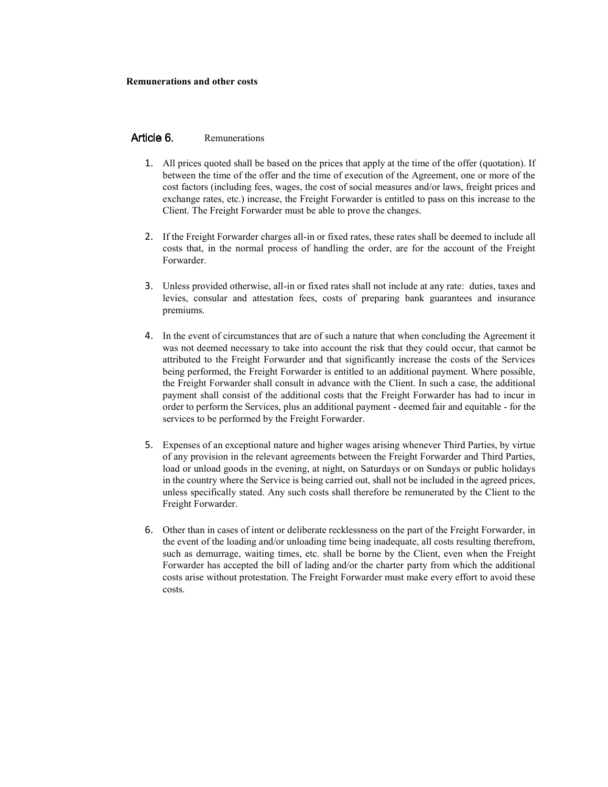#### Article 6. Remunerations

- 1. All prices quoted shall be based on the prices that apply at the time of the offer (quotation). If between the time of the offer and the time of execution of the Agreement, one or more of the cost factors (including fees, wages, the cost of social measures and/or laws, freight prices and exchange rates, etc.) increase, the Freight Forwarder is entitled to pass on this increase to the Client. The Freight Forwarder must be able to prove the changes.
- 2. If the Freight Forwarder charges all-in or fixed rates, these rates shall be deemed to include all costs that, in the normal process of handling the order, are for the account of the Freight Forwarder.
- 3. Unless provided otherwise, all-in or fixed rates shall not include at any rate: duties, taxes and levies, consular and attestation fees, costs of preparing bank guarantees and insurance premiums.
- 4. In the event of circumstances that are of such a nature that when concluding the Agreement it was not deemed necessary to take into account the risk that they could occur, that cannot be attributed to the Freight Forwarder and that significantly increase the costs of the Services being performed, the Freight Forwarder is entitled to an additional payment. Where possible, the Freight Forwarder shall consult in advance with the Client. In such a case, the additional payment shall consist of the additional costs that the Freight Forwarder has had to incur in order to perform the Services, plus an additional payment - deemed fair and equitable - for the services to be performed by the Freight Forwarder.
- 5. Expenses of an exceptional nature and higher wages arising whenever Third Parties, by virtue of any provision in the relevant agreements between the Freight Forwarder and Third Parties, load or unload goods in the evening, at night, on Saturdays or on Sundays or public holidays in the country where the Service is being carried out, shall not be included in the agreed prices, unless specifically stated. Any such costs shall therefore be remunerated by the Client to the Freight Forwarder.
- 6. Other than in cases of intent or deliberate recklessness on the part of the Freight Forwarder, in the event of the loading and/or unloading time being inadequate, all costs resulting therefrom, such as demurrage, waiting times, etc. shall be borne by the Client, even when the Freight Forwarder has accepted the bill of lading and/or the charter party from which the additional costs arise without protestation. The Freight Forwarder must make every effort to avoid these costs.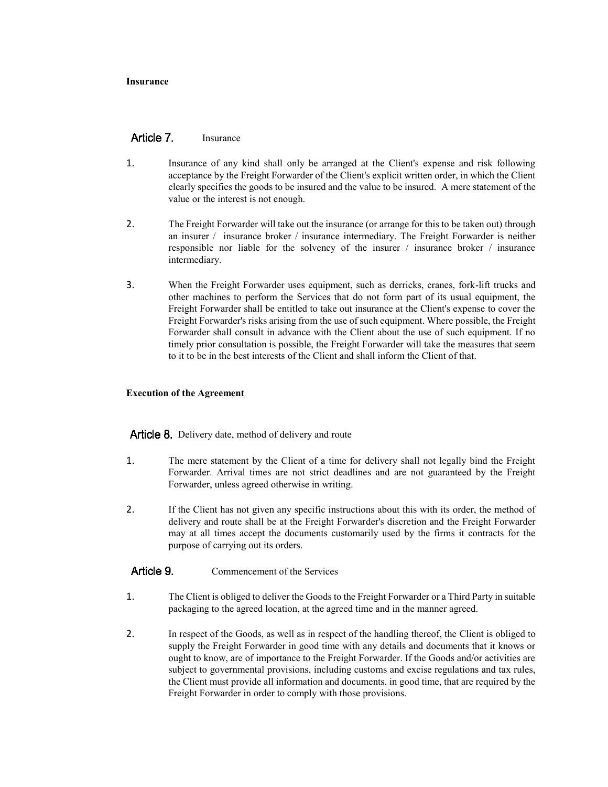## **Insurance**

#### Article 7 Insurance

- 1. Insurance of any kind shall only be arranged at the Client's expense and risk following acceptance by the Freight Forwarder of the Client's explicit written order, in which the Client clearly specifies the goods to be insured and the value to be insured. A mere statement of the value or the interest is not enough.
- 2. The Freight Forwarder will take out the insurance (or arrange for this to be taken out) through an insurer / insurance broker / insurance intermediary. The Freight Forwarder is neither responsible nor liable for the solvency of the insurer / insurance broker / insurance intermediary.
- 3. When the Freight Forwarder uses equipment, such as derricks, cranes, fork-lift trucks and other machines to perform the Services that do not form part of its usual equipment, the Freight Forwarder shall be entitled to take out insurance at the Client's expense to cover the Freight Forwarder's risks arising from the use of such equipment. Where possible, the Freight Forwarder shall consult in advance with the Client about the use of such equipment. If no timely prior consultation is possible, the Freight Forwarder will take the measures that seem to it to be in the best interests of the Client and shall inform the Client of that.

## **Execution of the Agreement**

**Article 8.** Delivery date, method of delivery and route

- 1. The mere statement by the Client of a time for delivery shall not legally bind the Freight Forwarder. Arrival times are not strict deadlines and are not guaranteed by the Freight Forwarder, unless agreed otherwise in writing.
- 2. If the Client has not given any specific instructions about this with its order, the method of delivery and route shall be at the Freight Forwarder's discretion and the Freight Forwarder may at all times accept the documents customarily used by the firms it contracts for the purpose of carrying out its orders.

#### Article 9. Commencement of the Services

- 1. The Client is obliged to deliver the Goods to the Freight Forwarder or a Third Party in suitable packaging to the agreed location, at the agreed time and in the manner agreed.
- 2. In respect of the Goods, as well as in respect of the handling thereof, the Client is obliged to supply the Freight Forwarder in good time with any details and documents that it knows or ought to know, are of importance to the Freight Forwarder. If the Goods and/or activities are subject to governmental provisions, including customs and excise regulations and tax rules, the Client must provide all information and documents, in good time, that are required by the Freight Forwarder in order to comply with those provisions.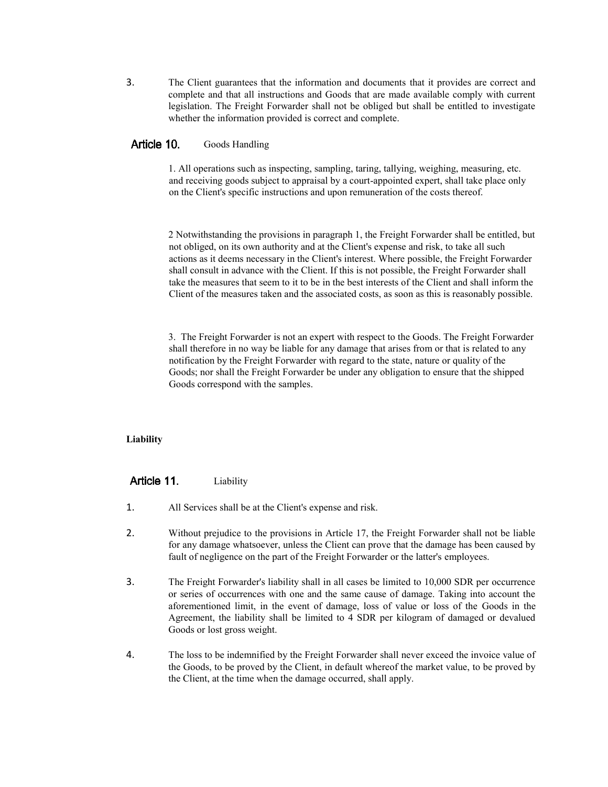3. The Client guarantees that the information and documents that it provides are correct and complete and that all instructions and Goods that are made available comply with current legislation. The Freight Forwarder shall not be obliged but shall be entitled to investigate whether the information provided is correct and complete.

#### Article 10. Goods Handling

1. All operations such as inspecting, sampling, taring, tallying, weighing, measuring, etc. and receiving goods subject to appraisal by a court-appointed expert, shall take place only on the Client's specific instructions and upon remuneration of the costs thereof.

2 Notwithstanding the provisions in paragraph 1, the Freight Forwarder shall be entitled, but not obliged, on its own authority and at the Client's expense and risk, to take all such actions as it deems necessary in the Client's interest. Where possible, the Freight Forwarder shall consult in advance with the Client. If this is not possible, the Freight Forwarder shall take the measures that seem to it to be in the best interests of the Client and shall inform the Client of the measures taken and the associated costs, as soon as this is reasonably possible.

3. The Freight Forwarder is not an expert with respect to the Goods. The Freight Forwarder shall therefore in no way be liable for any damage that arises from or that is related to any notification by the Freight Forwarder with regard to the state, nature or quality of the Goods; nor shall the Freight Forwarder be under any obligation to ensure that the shipped Goods correspond with the samples.

## **Liability**

#### Article 11. Liability

- 1. All Services shall be at the Client's expense and risk.
- 2. Without prejudice to the provisions in Article 17, the Freight Forwarder shall not be liable for any damage whatsoever, unless the Client can prove that the damage has been caused by fault of negligence on the part of the Freight Forwarder or the latter's employees.
- 3. The Freight Forwarder's liability shall in all cases be limited to 10,000 SDR per occurrence or series of occurrences with one and the same cause of damage. Taking into account the aforementioned limit, in the event of damage, loss of value or loss of the Goods in the Agreement, the liability shall be limited to 4 SDR per kilogram of damaged or devalued Goods or lost gross weight.
- 4. The loss to be indemnified by the Freight Forwarder shall never exceed the invoice value of the Goods, to be proved by the Client, in default whereof the market value, to be proved by the Client, at the time when the damage occurred, shall apply.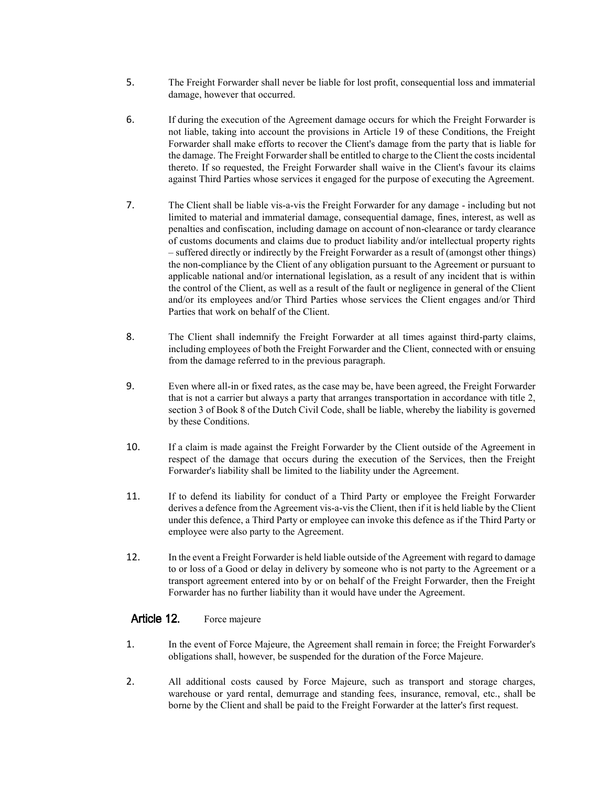- 5. The Freight Forwarder shall never be liable for lost profit, consequential loss and immaterial damage, however that occurred.
- 6. If during the execution of the Agreement damage occurs for which the Freight Forwarder is not liable, taking into account the provisions in Article 19 of these Conditions, the Freight Forwarder shall make efforts to recover the Client's damage from the party that is liable for the damage. The Freight Forwarder shall be entitled to charge to the Client the costs incidental thereto. If so requested, the Freight Forwarder shall waive in the Client's favour its claims against Third Parties whose services it engaged for the purpose of executing the Agreement.
- 7. The Client shall be liable vis-a-vis the Freight Forwarder for any damage including but not limited to material and immaterial damage, consequential damage, fines, interest, as well as penalties and confiscation, including damage on account of non-clearance or tardy clearance of customs documents and claims due to product liability and/or intellectual property rights – suffered directly or indirectly by the Freight Forwarder as a result of (amongst other things) the non-compliance by the Client of any obligation pursuant to the Agreement or pursuant to applicable national and/or international legislation, as a result of any incident that is within the control of the Client, as well as a result of the fault or negligence in general of the Client and/or its employees and/or Third Parties whose services the Client engages and/or Third Parties that work on behalf of the Client.
- 8. The Client shall indemnify the Freight Forwarder at all times against third-party claims, including employees of both the Freight Forwarder and the Client, connected with or ensuing from the damage referred to in the previous paragraph.
- 9. Even where all-in or fixed rates, as the case may be, have been agreed, the Freight Forwarder that is not a carrier but always a party that arranges transportation in accordance with title 2, section 3 of Book 8 of the Dutch Civil Code, shall be liable, whereby the liability is governed by these Conditions.
- 10. If a claim is made against the Freight Forwarder by the Client outside of the Agreement in respect of the damage that occurs during the execution of the Services, then the Freight Forwarder's liability shall be limited to the liability under the Agreement.
- 11. If to defend its liability for conduct of a Third Party or employee the Freight Forwarder derives a defence from the Agreement vis-a-vis the Client, then if it is held liable by the Client under this defence, a Third Party or employee can invoke this defence as if the Third Party or employee were also party to the Agreement.
- 12. In the event a Freight Forwarder is held liable outside of the Agreement with regard to damage to or loss of a Good or delay in delivery by someone who is not party to the Agreement or a transport agreement entered into by or on behalf of the Freight Forwarder, then the Freight Forwarder has no further liability than it would have under the Agreement.

### Article 12. Force majeure

- 1. In the event of Force Majeure, the Agreement shall remain in force; the Freight Forwarder's obligations shall, however, be suspended for the duration of the Force Majeure.
- 2. All additional costs caused by Force Majeure, such as transport and storage charges, warehouse or yard rental, demurrage and standing fees, insurance, removal, etc., shall be borne by the Client and shall be paid to the Freight Forwarder at the latter's first request.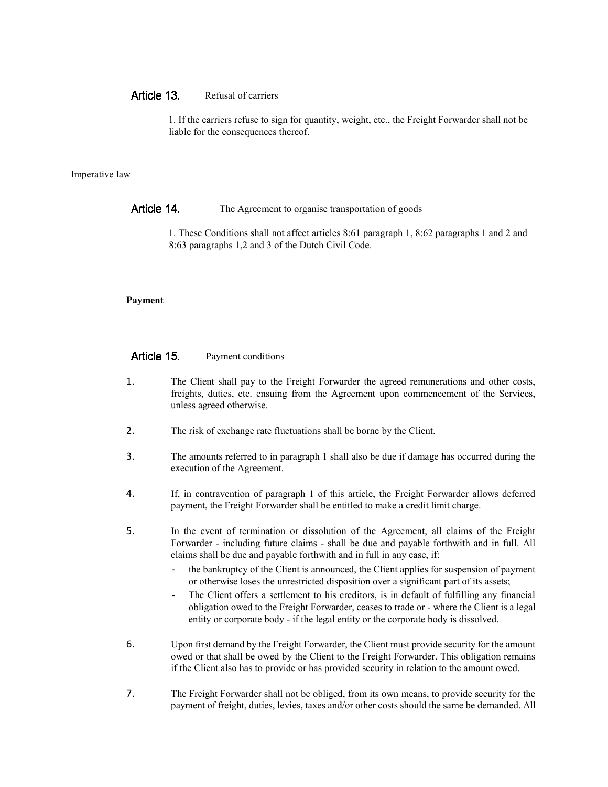#### Article 13 Refusal of carriers

1. If the carriers refuse to sign for quantity, weight, etc., the Freight Forwarder shall not be liable for the consequences thereof.

## Imperative law

### Article 14. The Agreement to organise transportation of goods

1. These Conditions shall not affect articles 8:61 paragraph 1, 8:62 paragraphs 1 and 2 and 8:63 paragraphs 1,2 and 3 of the Dutch Civil Code.

## **Payment**

#### Article 15. Payment conditions

- 1. The Client shall pay to the Freight Forwarder the agreed remunerations and other costs, freights, duties, etc. ensuing from the Agreement upon commencement of the Services, unless agreed otherwise.
- 2. The risk of exchange rate fluctuations shall be borne by the Client.
- 3. The amounts referred to in paragraph 1 shall also be due if damage has occurred during the execution of the Agreement.
- 4. If, in contravention of paragraph 1 of this article, the Freight Forwarder allows deferred payment, the Freight Forwarder shall be entitled to make a credit limit charge.
- 5. In the event of termination or dissolution of the Agreement, all claims of the Freight Forwarder - including future claims - shall be due and payable forthwith and in full. All claims shall be due and payable forthwith and in full in any case, if:
	- the bankruptcy of the Client is announced, the Client applies for suspension of payment or otherwise loses the unrestricted disposition over a significant part of its assets;
	- The Client offers a settlement to his creditors, is in default of fulfilling any financial obligation owed to the Freight Forwarder, ceases to trade or - where the Client is a legal entity or corporate body - if the legal entity or the corporate body is dissolved.
- 6. Upon first demand by the Freight Forwarder, the Client must provide security for the amount owed or that shall be owed by the Client to the Freight Forwarder. This obligation remains if the Client also has to provide or has provided security in relation to the amount owed.
- 7. The Freight Forwarder shall not be obliged, from its own means, to provide security for the payment of freight, duties, levies, taxes and/or other costs should the same be demanded. All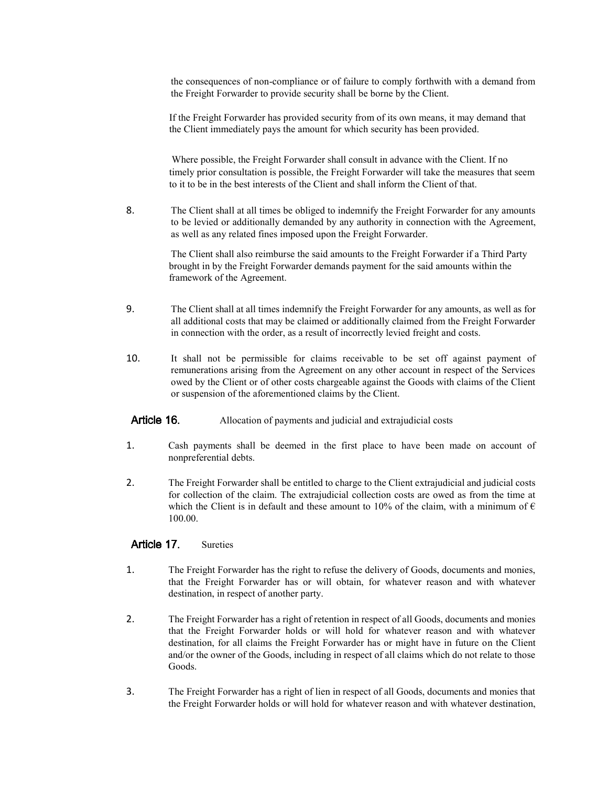the consequences of non-compliance or of failure to comply forthwith with a demand from the Freight Forwarder to provide security shall be borne by the Client.

If the Freight Forwarder has provided security from of its own means, it may demand that the Client immediately pays the amount for which security has been provided.

Where possible, the Freight Forwarder shall consult in advance with the Client. If no timely prior consultation is possible, the Freight Forwarder will take the measures that seem to it to be in the best interests of the Client and shall inform the Client of that.

8. The Client shall at all times be obliged to indemnify the Freight Forwarder for any amounts to be levied or additionally demanded by any authority in connection with the Agreement, as well as any related fines imposed upon the Freight Forwarder.

> The Client shall also reimburse the said amounts to the Freight Forwarder if a Third Party brought in by the Freight Forwarder demands payment for the said amounts within the framework of the Agreement.

- 9. The Client shall at all times indemnify the Freight Forwarder for any amounts, as well as for all additional costs that may be claimed or additionally claimed from the Freight Forwarder in connection with the order, as a result of incorrectly levied freight and costs.
- 10. It shall not be permissible for claims receivable to be set off against payment of remunerations arising from the Agreement on any other account in respect of the Services owed by the Client or of other costs chargeable against the Goods with claims of the Client or suspension of the aforementioned claims by the Client.
- Article 16. Allocation of payments and judicial and extrajudicial costs
- 1. Cash payments shall be deemed in the first place to have been made on account of nonpreferential debts.
- 2. The Freight Forwarder shall be entitled to charge to the Client extrajudicial and judicial costs for collection of the claim. The extrajudicial collection costs are owed as from the time at which the Client is in default and these amount to 10% of the claim, with a minimum of  $\epsilon$ 100.00.

#### Article 17 Sureties

- 1. The Freight Forwarder has the right to refuse the delivery of Goods, documents and monies, that the Freight Forwarder has or will obtain, for whatever reason and with whatever destination, in respect of another party.
- 2. The Freight Forwarder has a right of retention in respect of all Goods, documents and monies that the Freight Forwarder holds or will hold for whatever reason and with whatever destination, for all claims the Freight Forwarder has or might have in future on the Client and/or the owner of the Goods, including in respect of all claims which do not relate to those Goods.
- 3. The Freight Forwarder has a right of lien in respect of all Goods, documents and monies that the Freight Forwarder holds or will hold for whatever reason and with whatever destination,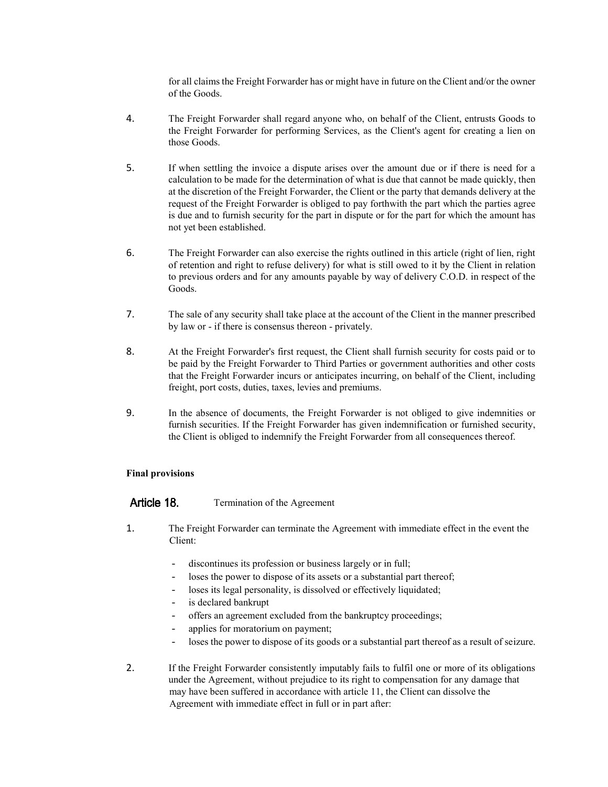for all claims the Freight Forwarder has or might have in future on the Client and/or the owner of the Goods.

- 4. The Freight Forwarder shall regard anyone who, on behalf of the Client, entrusts Goods to the Freight Forwarder for performing Services, as the Client's agent for creating a lien on those Goods.
- 5. If when settling the invoice a dispute arises over the amount due or if there is need for a calculation to be made for the determination of what is due that cannot be made quickly, then at the discretion of the Freight Forwarder, the Client or the party that demands delivery at the request of the Freight Forwarder is obliged to pay forthwith the part which the parties agree is due and to furnish security for the part in dispute or for the part for which the amount has not yet been established.
- 6. The Freight Forwarder can also exercise the rights outlined in this article (right of lien, right of retention and right to refuse delivery) for what is still owed to it by the Client in relation to previous orders and for any amounts payable by way of delivery C.O.D. in respect of the Goods.
- 7. The sale of any security shall take place at the account of the Client in the manner prescribed by law or - if there is consensus thereon - privately.
- 8. At the Freight Forwarder's first request, the Client shall furnish security for costs paid or to be paid by the Freight Forwarder to Third Parties or government authorities and other costs that the Freight Forwarder incurs or anticipates incurring, on behalf of the Client, including freight, port costs, duties, taxes, levies and premiums.
- 9. In the absence of documents, the Freight Forwarder is not obliged to give indemnities or furnish securities. If the Freight Forwarder has given indemnification or furnished security, the Client is obliged to indemnify the Freight Forwarder from all consequences thereof.

### **Final provisions**

Article 18. Termination of the Agreement

- 1. The Freight Forwarder can terminate the Agreement with immediate effect in the event the Client:
	- discontinues its profession or business largely or in full;
	- loses the power to dispose of its assets or a substantial part thereof;
	- loses its legal personality, is dissolved or effectively liquidated;
	- is declared bankrupt
	- offers an agreement excluded from the bankruptcy proceedings;
	- applies for moratorium on payment;
	- loses the power to dispose of its goods or a substantial part thereof as a result of seizure.
- 2. If the Freight Forwarder consistently imputably fails to fulfil one or more of its obligations under the Agreement, without prejudice to its right to compensation for any damage that may have been suffered in accordance with article 11, the Client can dissolve the Agreement with immediate effect in full or in part after: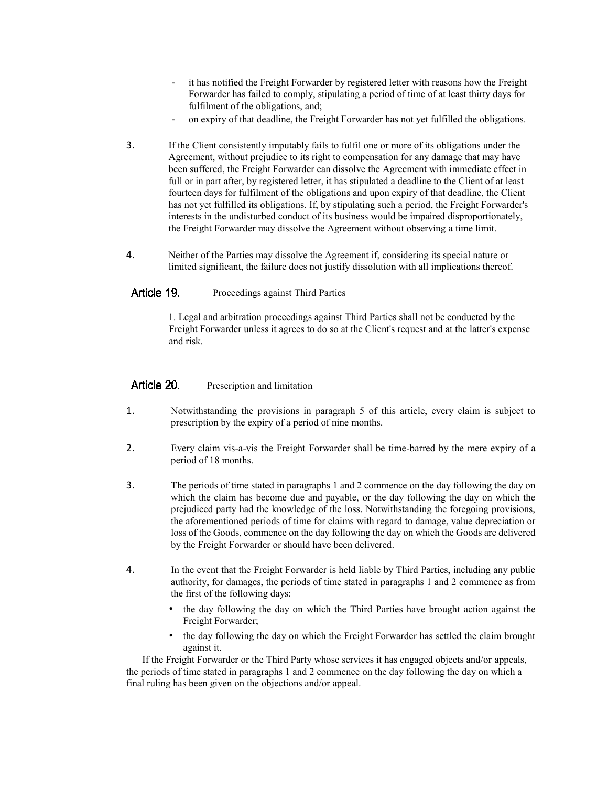- it has notified the Freight Forwarder by registered letter with reasons how the Freight Forwarder has failed to comply, stipulating a period of time of at least thirty days for fulfilment of the obligations, and;
- on expiry of that deadline, the Freight Forwarder has not yet fulfilled the obligations.
- 3. If the Client consistently imputably fails to fulfil one or more of its obligations under the Agreement, without prejudice to its right to compensation for any damage that may have been suffered, the Freight Forwarder can dissolve the Agreement with immediate effect in full or in part after, by registered letter, it has stipulated a deadline to the Client of at least fourteen days for fulfilment of the obligations and upon expiry of that deadline, the Client has not yet fulfilled its obligations. If, by stipulating such a period, the Freight Forwarder's interests in the undisturbed conduct of its business would be impaired disproportionately, the Freight Forwarder may dissolve the Agreement without observing a time limit.
- 4. Neither of the Parties may dissolve the Agreement if, considering its special nature or limited significant, the failure does not justify dissolution with all implications thereof.

#### Article 19. Proceedings against Third Parties

1. Legal and arbitration proceedings against Third Parties shall not be conducted by the Freight Forwarder unless it agrees to do so at the Client's request and at the latter's expense and risk.

#### Article 20. Prescription and limitation

- 1. Notwithstanding the provisions in paragraph 5 of this article, every claim is subject to prescription by the expiry of a period of nine months.
- 2. Every claim vis-a-vis the Freight Forwarder shall be time-barred by the mere expiry of a period of 18 months.
- 3. The periods of time stated in paragraphs 1 and 2 commence on the day following the day on which the claim has become due and payable, or the day following the day on which the prejudiced party had the knowledge of the loss. Notwithstanding the foregoing provisions, the aforementioned periods of time for claims with regard to damage, value depreciation or loss of the Goods, commence on the day following the day on which the Goods are delivered by the Freight Forwarder or should have been delivered.
- 4. In the event that the Freight Forwarder is held liable by Third Parties, including any public authority, for damages, the periods of time stated in paragraphs 1 and 2 commence as from the first of the following days:
	- the day following the day on which the Third Parties have brought action against the Freight Forwarder;
	- the day following the day on which the Freight Forwarder has settled the claim brought against it.

If the Freight Forwarder or the Third Party whose services it has engaged objects and/or appeals, the periods of time stated in paragraphs 1 and 2 commence on the day following the day on which a final ruling has been given on the objections and/or appeal.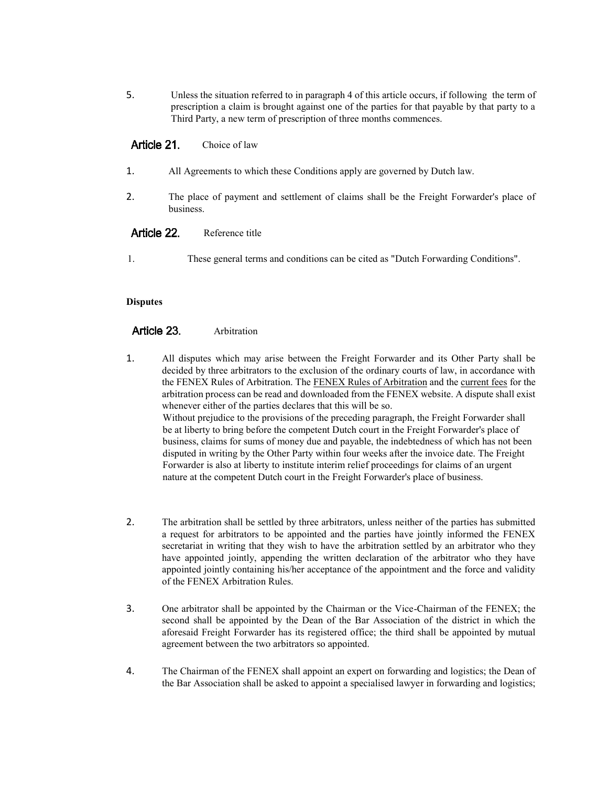5. Unless the situation referred to in paragraph 4 of this article occurs, if following the term of prescription a claim is brought against one of the parties for that payable by that party to a Third Party, a new term of prescription of three months commences.

#### Article 21. Choice of law

- 1. All Agreements to which these Conditions apply are governed by Dutch law.
- 2. The place of payment and settlement of claims shall be the Freight Forwarder's place of business.

#### Article 22. Reference title

1. These general terms and conditions can be cited as "Dutch Forwarding Conditions".

### **Disputes**

#### Article 23. Arbitration

- 1. All disputes which may arise between the Freight Forwarder and its Other Party shall be decided by three arbitrators to the exclusion of the ordinary courts of law, in accordance with the FENEX Rules of Arbitration. The FENEX Rules of Arbitration and the current fees for the arbitration process can be read and downloaded from the FENEX website. A dispute shall exist whenever either of the parties declares that this will be so. Without prejudice to the provisions of the preceding paragraph, the Freight Forwarder shall be at liberty to bring before the competent Dutch court in the Freight Forwarder's place of business, claims for sums of money due and payable, the indebtedness of which has not been disputed in writing by the Other Party within four weeks after the invoice date. The Freight Forwarder is also at liberty to institute interim relief proceedings for claims of an urgent nature at the competent Dutch court in the Freight Forwarder's place of business.
- 2. The arbitration shall be settled by three arbitrators, unless neither of the parties has submitted a request for arbitrators to be appointed and the parties have jointly informed the FENEX secretariat in writing that they wish to have the arbitration settled by an arbitrator who they have appointed jointly, appending the written declaration of the arbitrator who they have appointed jointly containing his/her acceptance of the appointment and the force and validity of the FENEX Arbitration Rules.
- 3. One arbitrator shall be appointed by the Chairman or the Vice-Chairman of the FENEX; the second shall be appointed by the Dean of the Bar Association of the district in which the aforesaid Freight Forwarder has its registered office; the third shall be appointed by mutual agreement between the two arbitrators so appointed.
- 4. The Chairman of the FENEX shall appoint an expert on forwarding and logistics; the Dean of the Bar Association shall be asked to appoint a specialised lawyer in forwarding and logistics;